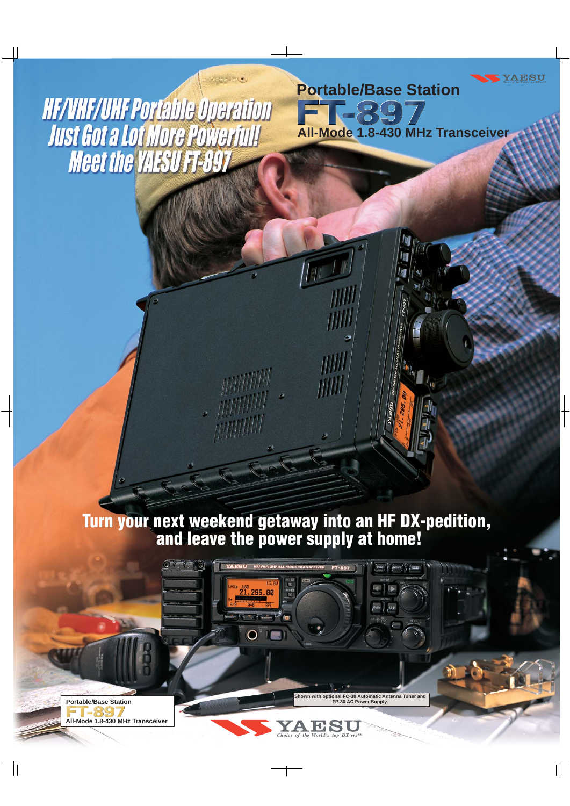**HF/VHF/UHF Portable Operation** Just Got a Lot More Powerful!

**Portable/Base Station** FT-897 **All-Mode 1.8-430 MHz Transceiver**

**YAESU** 

## **Turn your next weekend getaway into an HF DX-pedition, and leave the power supply at home!**

。<br>1, 295. 00

 $\sim l^2$  (n

**potional FC-30 Automatic Antenna Tuner and Fer Supply.** 

 $\left[\text{V/M}\right]$   $\left[\text{HOME}\right]$   $\left[\text{HOME}\right]$   $\left[\text{LSEB}\right]$ 

 $WN$ 

FT-897

**FRI** 

Choice of the World's top DX'ers

YA